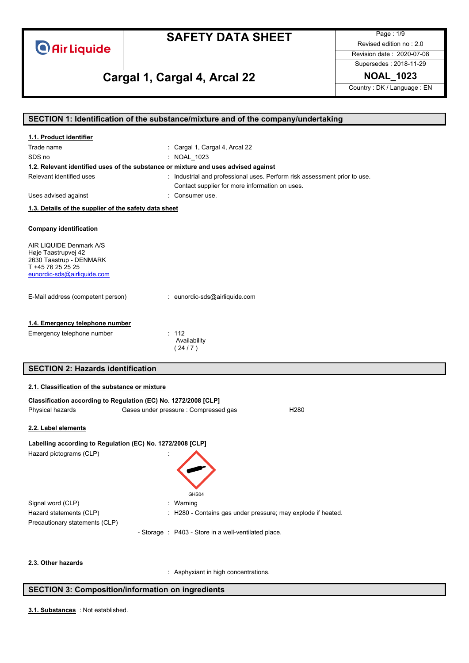

Page : 1/9 Revised edition no : 2.0 Revision date : 2020-07-08

### Supersedes : 2018-11-29

# **Cargal 1, Cargal 4, Arcal 22 NOAL\_1023**

Country : DK / Language : EN

|                                                                                    | SECTION 1: Identification of the substance/mixture and of the company/undertaking |
|------------------------------------------------------------------------------------|-----------------------------------------------------------------------------------|
| 1.1. Product identifier                                                            |                                                                                   |
| Trade name                                                                         | : Cargal 1, Cargal 4, Arcal 22                                                    |
| SDS no                                                                             | : NOAL_1023                                                                       |
| 1.2. Relevant identified uses of the substance or mixture and uses advised against |                                                                                   |
| Relevant identified uses                                                           | : Industrial and professional uses. Perform risk assessment prior to use.         |
|                                                                                    | Contact supplier for more information on uses.                                    |
| Uses advised against                                                               | : Consumer use.                                                                   |
| 1.3. Details of the supplier of the safety data sheet                              |                                                                                   |
|                                                                                    |                                                                                   |
| <b>Company identification</b>                                                      |                                                                                   |
| AIR LIQUIDE Denmark A/S                                                            |                                                                                   |
| Høje Taastrupvej 42                                                                |                                                                                   |
| 2630 Taastrup - DENMARK<br>T +45 76 25 25 25                                       |                                                                                   |
| eunordic-sds@airliquide.com                                                        |                                                                                   |
|                                                                                    |                                                                                   |
| E-Mail address (competent person)                                                  | : eunordic-sds@airliquide.com                                                     |
|                                                                                    |                                                                                   |
|                                                                                    |                                                                                   |
| 1.4. Emergency telephone number                                                    |                                                                                   |
| Emergency telephone number                                                         | : 112                                                                             |
|                                                                                    | Availability<br>(24/7)                                                            |
|                                                                                    |                                                                                   |
| <b>SECTION 2: Hazards identification</b>                                           |                                                                                   |
|                                                                                    |                                                                                   |
| 2.1. Classification of the substance or mixture                                    |                                                                                   |
| Classification according to Regulation (EC) No. 1272/2008 [CLP]                    |                                                                                   |
| Physical hazards                                                                   | Gases under pressure : Compressed gas<br>H <sub>280</sub>                         |
| 2.2. Label elements                                                                |                                                                                   |
|                                                                                    |                                                                                   |
| Labelling according to Regulation (EC) No. 1272/2008 [CLP]                         |                                                                                   |
| Hazard pictograms (CLP)                                                            |                                                                                   |
|                                                                                    |                                                                                   |
|                                                                                    |                                                                                   |
|                                                                                    |                                                                                   |
|                                                                                    | GHS04                                                                             |
| Signal word (CLP)                                                                  | : Warning                                                                         |
| Hazard statements (CLP)                                                            | : H280 - Contains gas under pressure; may explode if heated.                      |
| Precautionary statements (CLP)                                                     |                                                                                   |
|                                                                                    | - Storage : P403 - Store in a well-ventilated place.                              |
|                                                                                    |                                                                                   |
|                                                                                    |                                                                                   |
| 2.3. Other hazards                                                                 |                                                                                   |

: Asphyxiant in high concentrations.

#### **SECTION 3: Composition/information on ingredients**

: Not established. **3.1. Substances**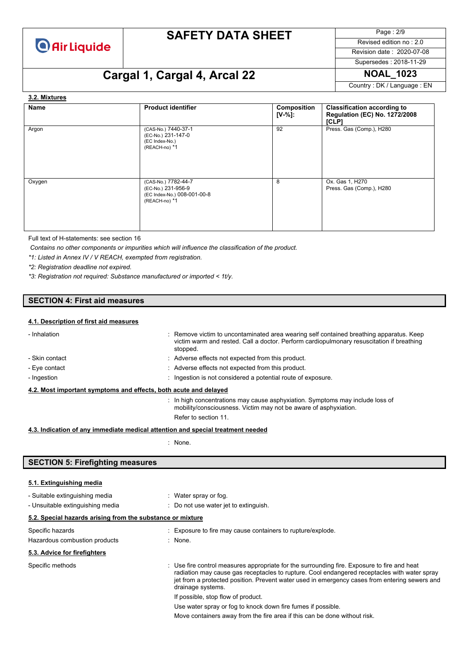

Page : 2/9 Revised edition no : 2.0

Revision date : 2020-07-08

# Supersedes : 2018-11-29

Country : DK / Language : EN

# **Cargal 1, Cargal 4, Arcal 22 NOAL\_1023**

#### **Name Product identifier Composition [V-%]: Classification according to Regulation (EC) No. 1272/2008 [CLP]** Argon (CAS-No.) 7440-37-1 (EC-No.) 231-147-0 (EC Index-No.) (REACH-no) \*1 92 Press. Gas (Comp.), H280 Oxygen (CAS-No.) 7782-44-7 (EC-No.) 231-956-9 (EC Index-No.) 008-001-00-8 (REACH-no) \*1 8 Ox. Gas 1, H270 Press. Gas (Comp.), H280 **3.2. Mixtures**

Full text of H-statements: see section 16

*Contains no other components or impurities which will influence the classification of the product.*

*\*1: Listed in Annex IV / V REACH, exempted from registration.*

*\*2: Registration deadline not expired.*

*\*3: Registration not required: Substance manufactured or imported < 1t/y.*

### **SECTION 4: First aid measures**

#### **4.1. Description of first aid measures**

| - Inhalation                                                                    |  | : Remove victim to uncontaminated area wearing self contained breathing apparatus. Keep<br>victim warm and rested. Call a doctor. Perform cardiopulmonary resuscitation if breathing<br>stopped. |
|---------------------------------------------------------------------------------|--|--------------------------------------------------------------------------------------------------------------------------------------------------------------------------------------------------|
| - Skin contact                                                                  |  | : Adverse effects not expected from this product.                                                                                                                                                |
| - Eye contact                                                                   |  | : Adverse effects not expected from this product.                                                                                                                                                |
| - Ingestion                                                                     |  | : Ingestion is not considered a potential route of exposure.                                                                                                                                     |
| 4.2. Most important symptoms and effects, both acute and delayed                |  |                                                                                                                                                                                                  |
|                                                                                 |  | : In high concentrations may cause asphyxiation. Symptoms may include loss of<br>mobility/consciousness. Victim may not be aware of asphyxiation.                                                |
|                                                                                 |  | Refer to section 11.                                                                                                                                                                             |
| 4.3. Indication of any immediate medical attention and special treatment needed |  |                                                                                                                                                                                                  |

: None.

### **SECTION 5: Firefighting measures**

#### **5.1. Extinguishing media**

| - Suitable extinguishing media                             | : Water spray or fog.                                                                                                                                                                                                                                                                                             |
|------------------------------------------------------------|-------------------------------------------------------------------------------------------------------------------------------------------------------------------------------------------------------------------------------------------------------------------------------------------------------------------|
| - Unsuitable extinguishing media                           | : Do not use water jet to extinguish.                                                                                                                                                                                                                                                                             |
| 5.2. Special hazards arising from the substance or mixture |                                                                                                                                                                                                                                                                                                                   |
| Specific hazards                                           | : Exposure to fire may cause containers to rupture/explode.                                                                                                                                                                                                                                                       |
| Hazardous combustion products                              | : None.                                                                                                                                                                                                                                                                                                           |
| 5.3. Advice for firefighters                               |                                                                                                                                                                                                                                                                                                                   |
| Specific methods                                           | : Use fire control measures appropriate for the surrounding fire. Exposure to fire and heat<br>radiation may cause gas receptacles to rupture. Cool endangered receptacles with water spray<br>jet from a protected position. Prevent water used in emergency cases from entering sewers and<br>drainage systems. |
|                                                            | If possible, stop flow of product.                                                                                                                                                                                                                                                                                |
|                                                            | Use water spray or fog to knock down fire fumes if possible.                                                                                                                                                                                                                                                      |
|                                                            |                                                                                                                                                                                                                                                                                                                   |

Move containers away from the fire area if this can be done without risk.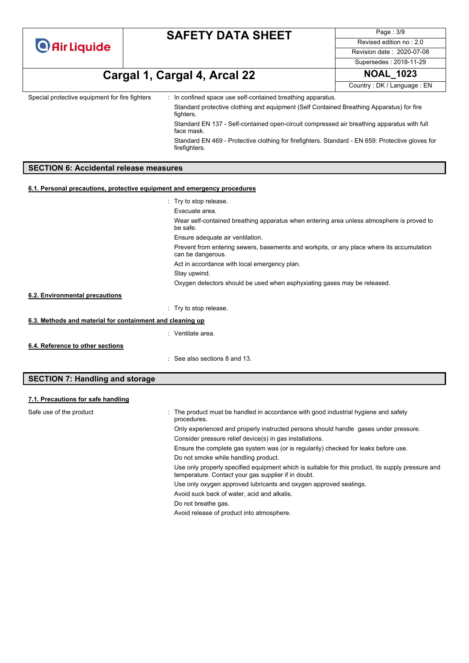Page : 3/9 Revised edition no : 2.0 Revision date : 2020-07-08 Supersedes : 2018-11-29

**Cargal 1, Cargal 4, Arcal 22 NOAL\_1023**

Country : DK / Language : EN

Special protective equipment for fire fighters : In confined space use self-contained breathing apparatus. Standard protective clothing and equipment (Self Contained Breathing Apparatus) for fire fighters.

> Standard EN 137 - Self-contained open-circuit compressed air breathing apparatus with full face mask.

Standard EN 469 - Protective clothing for firefighters. Standard - EN 659: Protective gloves for firefighters.

### **SECTION 6: Accidental release measures**

#### **6.1. Personal precautions, protective equipment and emergency procedures**

|                                                           | : Try to stop release.                                                                                         |  |
|-----------------------------------------------------------|----------------------------------------------------------------------------------------------------------------|--|
|                                                           | Evacuate area.                                                                                                 |  |
|                                                           | Wear self-contained breathing apparatus when entering area unless atmosphere is proved to<br>be safe.          |  |
|                                                           | Ensure adequate air ventilation.                                                                               |  |
|                                                           | Prevent from entering sewers, basements and workpits, or any place where its accumulation<br>can be dangerous. |  |
|                                                           | Act in accordance with local emergency plan.                                                                   |  |
|                                                           | Stay upwind.                                                                                                   |  |
|                                                           | Oxygen detectors should be used when asphyxiating gases may be released.                                       |  |
| 6.2. Environmental precautions                            |                                                                                                                |  |
|                                                           | : Try to stop release.                                                                                         |  |
| 6.3. Methods and material for containment and cleaning up |                                                                                                                |  |
|                                                           | : Ventilate area.                                                                                              |  |
| 6.4. Reference to other sections                          |                                                                                                                |  |
|                                                           | : See also sections 8 and 13.                                                                                  |  |

### **SECTION 7: Handling and storage**

#### **7.1. Precautions for safe handling**

| Safe use of the product | The product must be handled in accordance with good industrial hygiene and safety<br>procedures.                                                         |
|-------------------------|----------------------------------------------------------------------------------------------------------------------------------------------------------|
|                         | Only experienced and properly instructed persons should handle gases under pressure.                                                                     |
|                         | Consider pressure relief device(s) in gas installations.                                                                                                 |
|                         | Ensure the complete gas system was (or is regularily) checked for leaks before use.                                                                      |
|                         | Do not smoke while handling product.                                                                                                                     |
|                         | Use only properly specified equipment which is suitable for this product, its supply pressure and<br>temperature. Contact your gas supplier if in doubt. |
|                         | Use only oxygen approved lubricants and oxygen approved sealings.                                                                                        |
|                         | Avoid suck back of water, acid and alkalis.                                                                                                              |
|                         | Do not breathe gas.                                                                                                                                      |
|                         | Avoid release of product into atmosphere.                                                                                                                |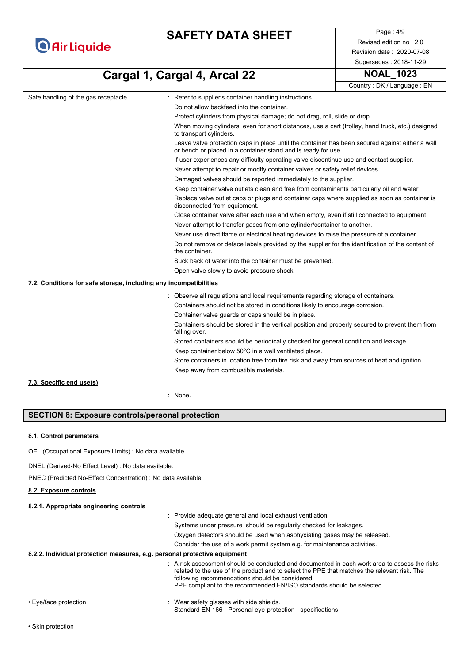|  | <b>O</b> Air Liquide |  |
|--|----------------------|--|
|  |                      |  |

Page : 4/9 Revised edition no : 2.0 Revision date : 2020-07-08 Supersedes : 2018-11-29

**Cargal 1, Cargal 4, Arcal 22 NOAL\_1023**

Country : DK / Language : EN

|                                                                   |                                                                                                                                                                  | Country: DK / Language: EN |
|-------------------------------------------------------------------|------------------------------------------------------------------------------------------------------------------------------------------------------------------|----------------------------|
| Safe handling of the gas receptacle                               | : Refer to supplier's container handling instructions.                                                                                                           |                            |
|                                                                   | Do not allow backfeed into the container.                                                                                                                        |                            |
|                                                                   | Protect cylinders from physical damage; do not drag, roll, slide or drop.                                                                                        |                            |
|                                                                   | When moving cylinders, even for short distances, use a cart (trolley, hand truck, etc.) designed<br>to transport cylinders.                                      |                            |
|                                                                   | Leave valve protection caps in place until the container has been secured against either a wall<br>or bench or placed in a container stand and is ready for use. |                            |
|                                                                   | If user experiences any difficulty operating valve discontinue use and contact supplier.                                                                         |                            |
|                                                                   | Never attempt to repair or modify container valves or safety relief devices.                                                                                     |                            |
|                                                                   | Damaged valves should be reported immediately to the supplier.                                                                                                   |                            |
|                                                                   | Keep container valve outlets clean and free from contaminants particularly oil and water.                                                                        |                            |
|                                                                   | Replace valve outlet caps or plugs and container caps where supplied as soon as container is<br>disconnected from equipment.                                     |                            |
|                                                                   | Close container valve after each use and when empty, even if still connected to equipment.                                                                       |                            |
|                                                                   | Never attempt to transfer gases from one cylinder/container to another.                                                                                          |                            |
|                                                                   | Never use direct flame or electrical heating devices to raise the pressure of a container.                                                                       |                            |
|                                                                   | Do not remove or deface labels provided by the supplier for the identification of the content of<br>the container.                                               |                            |
|                                                                   | Suck back of water into the container must be prevented.                                                                                                         |                            |
|                                                                   | Open valve slowly to avoid pressure shock.                                                                                                                       |                            |
| 7.2. Conditions for safe storage, including any incompatibilities |                                                                                                                                                                  |                            |
|                                                                   | : Observe all regulations and local requirements regarding storage of containers.                                                                                |                            |
|                                                                   | Containers should not be stored in conditions likely to encourage corrosion.                                                                                     |                            |
|                                                                   | Container valve guards or caps should be in place.                                                                                                               |                            |
|                                                                   | Containers should be stored in the vertical position and properly secured to prevent them from<br>falling over.                                                  |                            |
|                                                                   | Stored containers should be periodically checked for general condition and leakage.                                                                              |                            |
|                                                                   | Keep container below 50°C in a well ventilated place.                                                                                                            |                            |
|                                                                   | Store containers in location free from fire risk and away from sources of heat and ignition.                                                                     |                            |
|                                                                   | Keep away from combustible materials.                                                                                                                            |                            |
| 7.3. Specific end use(s)                                          |                                                                                                                                                                  |                            |

: None.

### **SECTION 8: Exposure controls/personal protection**

#### **8.1. Control parameters**

OEL (Occupational Exposure Limits) : No data available.

DNEL (Derived-No Effect Level) : No data available.

PNEC (Predicted No-Effect Concentration) : No data available.

### **8.2. Exposure controls**

### **8.2.1. Appropriate engineering controls**

|                                                                           | : Provide adequate general and local exhaust ventilation.                                                                                                                                                                                                                                                                          |
|---------------------------------------------------------------------------|------------------------------------------------------------------------------------------------------------------------------------------------------------------------------------------------------------------------------------------------------------------------------------------------------------------------------------|
|                                                                           | Systems under pressure should be regularily checked for leakages.                                                                                                                                                                                                                                                                  |
|                                                                           | Oxygen detectors should be used when asphyxiating gases may be released.                                                                                                                                                                                                                                                           |
|                                                                           | Consider the use of a work permit system e.g. for maintenance activities.                                                                                                                                                                                                                                                          |
| 8.2.2. Individual protection measures, e.g. personal protective equipment |                                                                                                                                                                                                                                                                                                                                    |
|                                                                           | $\therefore$ A risk assessment should be conducted and documented in each work area to assess the risks<br>related to the use of the product and to select the PPE that matches the relevant risk. The<br>following recommendations should be considered:<br>PPE compliant to the recommended EN/ISO standards should be selected. |
| $\Gamma$ ualface protoction                                               | $\cdot$ Moss safety sloppes with side abjoids.                                                                                                                                                                                                                                                                                     |

• Eye/face protection **in the state of the set of the set of the set of the set of the set of the set of the shields.** Standard EN 166 - Personal eye-protection - specifications.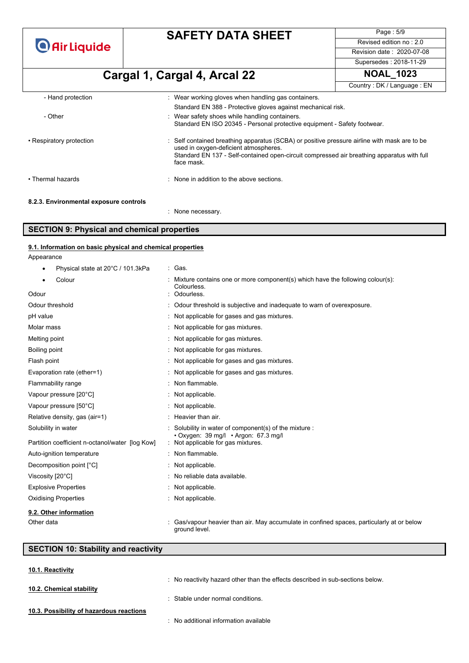**O** Air Liquide

# **SAFETY DATA SHEET**

Page : 5/9 Revised edition no : 2.0 Revision date : 2020-07-08

Supersedes : 2018-11-29

| Cargal 1, Cargal 4, Arcal 22           |                                                                                                                                                                                                                                                   | <b>NOAL 1023</b>           |  |
|----------------------------------------|---------------------------------------------------------------------------------------------------------------------------------------------------------------------------------------------------------------------------------------------------|----------------------------|--|
|                                        |                                                                                                                                                                                                                                                   | Country: DK / Language: EN |  |
| - Hand protection                      | : Wear working gloves when handling gas containers.                                                                                                                                                                                               |                            |  |
|                                        | Standard EN 388 - Protective gloves against mechanical risk.                                                                                                                                                                                      |                            |  |
| - Other                                | : Wear safety shoes while handling containers.<br>Standard EN ISO 20345 - Personal protective equipment - Safety footwear.                                                                                                                        |                            |  |
| • Respiratory protection               | : Self contained breathing apparatus (SCBA) or positive pressure airline with mask are to be<br>used in oxygen-deficient atmospheres.<br>Standard EN 137 - Self-contained open-circuit compressed air breathing apparatus with full<br>face mask. |                            |  |
| • Thermal hazards                      | : None in addition to the above sections.                                                                                                                                                                                                         |                            |  |
| 8.2.3. Environmental exposure controls |                                                                                                                                                                                                                                                   |                            |  |
|                                        | : None necessary.                                                                                                                                                                                                                                 |                            |  |

### **SECTION 9: Physical and chemical properties**

| 9.1. Information on basic physical and chemical properties |                                                                                                           |
|------------------------------------------------------------|-----------------------------------------------------------------------------------------------------------|
| Appearance                                                 |                                                                                                           |
| Physical state at 20°C / 101.3kPa                          | : Gas.                                                                                                    |
| Colour                                                     | Mixture contains one or more component(s) which have the following colour(s):                             |
| Odour                                                      | Colourless.<br>Odourless.                                                                                 |
| Odour threshold                                            | Odour threshold is subjective and inadequate to warn of overexposure.                                     |
| pH value                                                   | : Not applicable for gases and gas mixtures.                                                              |
| Molar mass                                                 | : Not applicable for gas mixtures.                                                                        |
| Melting point                                              | : Not applicable for gas mixtures.                                                                        |
| Boiling point                                              | Not applicable for gas mixtures.                                                                          |
| Flash point                                                | Not applicable for gases and gas mixtures.                                                                |
| Evaporation rate (ether=1)                                 | Not applicable for gases and gas mixtures.                                                                |
| Flammability range                                         | Non flammable.                                                                                            |
| Vapour pressure [20°C]                                     | Not applicable.                                                                                           |
| Vapour pressure [50°C]                                     | Not applicable.                                                                                           |
| Relative density, gas (air=1)                              | : Heavier than air.                                                                                       |
| Solubility in water                                        | Solubility in water of component(s) of the mixture :<br>• Oxygen: 39 mg/l • Argon: 67.3 mg/l              |
| Partition coefficient n-octanol/water [log Kow]            | Not applicable for gas mixtures.                                                                          |
| Auto-ignition temperature                                  | : Non flammable.                                                                                          |
| Decomposition point [°C]                                   | : Not applicable.                                                                                         |
| Viscosity [20°C]                                           | : No reliable data available.                                                                             |
| <b>Explosive Properties</b>                                | Not applicable.                                                                                           |
| <b>Oxidising Properties</b>                                | Not applicable.                                                                                           |
| 9.2. Other information                                     |                                                                                                           |
| Other data                                                 | Gas/vapour heavier than air. May accumulate in confined spaces, particularly at or below<br>ground level. |

### **SECTION 10: Stability and reactivity**

| 10.1. Reactivity                         |                                                                                |
|------------------------------------------|--------------------------------------------------------------------------------|
|                                          | : No reactivity hazard other than the effects described in sub-sections below. |
| 10.2. Chemical stability                 |                                                                                |
|                                          | : Stable under normal conditions.                                              |
| 10.3. Possibility of hazardous reactions |                                                                                |
|                                          | : No additional information available                                          |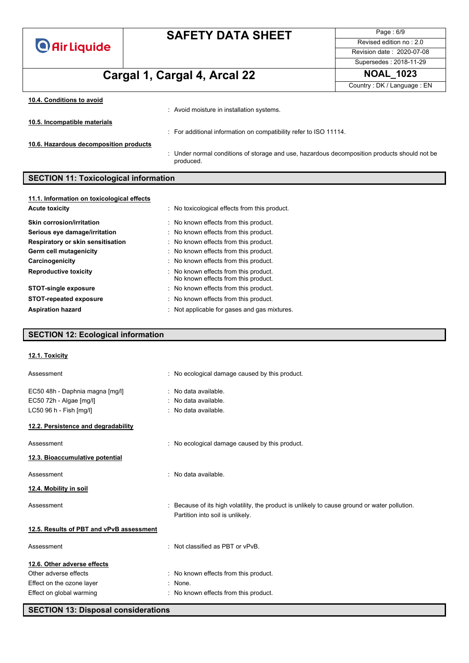**O** Air Liquide

# **SAFETY DATA SHEET**

Page : 6/9 Revised edition no : 2.0 Revision date : 2020-07-08 Supersedes : 2018-11-29

# **Cargal 1, Cargal 4, Arcal 22 NOAL\_1023**

Country : DK / Language : EN

| 10.4. Conditions to avoid              |                                                                                                           |
|----------------------------------------|-----------------------------------------------------------------------------------------------------------|
|                                        | : Avoid moisture in installation systems.                                                                 |
| 10.5. Incompatible materials           |                                                                                                           |
|                                        | : For additional information on compatibility refer to ISO 11114.                                         |
| 10.6. Hazardous decomposition products |                                                                                                           |
|                                        | : Under normal conditions of storage and use, hazardous decomposition products should not be<br>produced. |

### **SECTION 11: Toxicological information**

| 11.1. Information on toxicological effects |                                                                              |
|--------------------------------------------|------------------------------------------------------------------------------|
| <b>Acute toxicity</b>                      | : No toxicological effects from this product.                                |
| <b>Skin corrosion/irritation</b>           | : No known effects from this product.                                        |
| Serious eye damage/irritation              | : No known effects from this product.                                        |
| Respiratory or skin sensitisation          | : No known effects from this product.                                        |
| Germ cell mutagenicity                     | : No known effects from this product.                                        |
| Carcinogenicity                            | : No known effects from this product.                                        |
| <b>Reproductive toxicity</b>               | : No known effects from this product.<br>No known effects from this product. |
| <b>STOT-single exposure</b>                | : No known effects from this product.                                        |
| <b>STOT-repeated exposure</b>              | : No known effects from this product.                                        |
| <b>Aspiration hazard</b>                   | : Not applicable for gases and gas mixtures.                                 |

### **SECTION 12: Ecological information**

| 12.1. Toxicity                           |                                                                                                                                   |
|------------------------------------------|-----------------------------------------------------------------------------------------------------------------------------------|
| Assessment                               | : No ecological damage caused by this product.                                                                                    |
| EC50 48h - Daphnia magna [mg/l]          | : No data available.                                                                                                              |
| EC50 72h - Algae [mg/l]                  | : No data available.                                                                                                              |
| LC50 96 h - Fish [mg/l]                  | : No data available.                                                                                                              |
| 12.2. Persistence and degradability      |                                                                                                                                   |
| Assessment                               | : No ecological damage caused by this product.                                                                                    |
| 12.3. Bioaccumulative potential          |                                                                                                                                   |
| Assessment                               | : No data available.                                                                                                              |
| 12.4. Mobility in soil                   |                                                                                                                                   |
| Assessment                               | : Because of its high volatility, the product is unlikely to cause ground or water pollution.<br>Partition into soil is unlikely. |
| 12.5. Results of PBT and vPvB assessment |                                                                                                                                   |
| Assessment                               | : Not classified as PBT or $vPvB$ .                                                                                               |
| 12.6. Other adverse effects              |                                                                                                                                   |
| Other adverse effects                    | : No known effects from this product.                                                                                             |
| Effect on the ozone layer                | : None.                                                                                                                           |
| Effect on global warming                 | : No known effects from this product.                                                                                             |
|                                          |                                                                                                                                   |

**SECTION 13: Disposal considerations**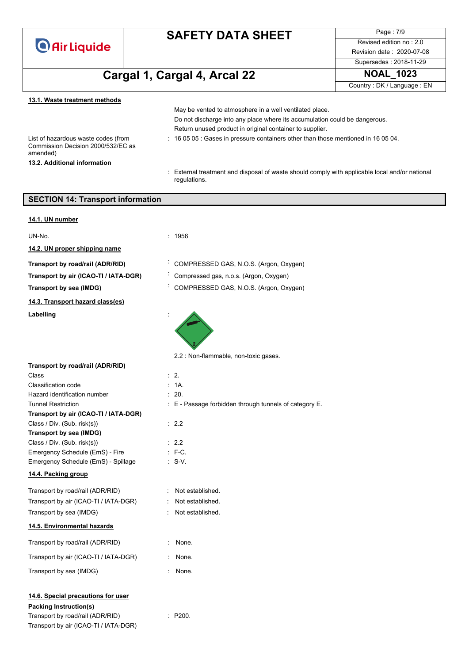

Page : 7/9 Revised edition no : 2.0 Revision date : 2020-07-08 Supersedes : 2018-11-29

# **Cargal 1, Cargal 4, Arcal 22 NOAL\_1023**

Country : DK / Language : EN

#### **13.1. Waste treatment methods**

List of hazardous waste codes (from Commission Decision 2000/532/EC as amended) **13.2. Additional information**

Do not discharge into any place where its accumulation could be dangerous. Return unused product in original container to supplier.

May be vented to atmosphere in a well ventilated place.

- : 16 05 05 : Gases in pressure containers other than those mentioned in 16 05 04.
- : External treatment and disposal of waste should comply with applicable local and/or national regulations.

| <b>SECTION 14: Transport information</b>                                                                                                         |                                                        |  |
|--------------------------------------------------------------------------------------------------------------------------------------------------|--------------------------------------------------------|--|
| 14.1. UN number                                                                                                                                  |                                                        |  |
| UN-No.                                                                                                                                           | : 1956                                                 |  |
| 14.2. UN proper shipping name                                                                                                                    |                                                        |  |
| Transport by road/rail (ADR/RID)                                                                                                                 | COMPRESSED GAS, N.O.S. (Argon, Oxygen)                 |  |
| Transport by air (ICAO-TI / IATA-DGR)                                                                                                            | Compressed gas, n.o.s. (Argon, Oxygen)                 |  |
| Transport by sea (IMDG)                                                                                                                          | COMPRESSED GAS, N.O.S. (Argon, Oxygen)                 |  |
| 14.3. Transport hazard class(es)                                                                                                                 |                                                        |  |
| Labelling                                                                                                                                        |                                                        |  |
|                                                                                                                                                  | 2.2 : Non-flammable, non-toxic gases.                  |  |
| Transport by road/rail (ADR/RID)<br>Class                                                                                                        | $\cdot$ 2.                                             |  |
| Classification code                                                                                                                              | : 1A                                                   |  |
| Hazard identification number                                                                                                                     | $\therefore$ 20.                                       |  |
| <b>Tunnel Restriction</b>                                                                                                                        | : E - Passage forbidden through tunnels of category E. |  |
| Transport by air (ICAO-TI / IATA-DGR)                                                                                                            |                                                        |  |
| Class / Div. (Sub. risk(s))                                                                                                                      | $\therefore$ 2.2                                       |  |
| Transport by sea (IMDG)                                                                                                                          |                                                        |  |
| Class / Div. (Sub. risk(s))                                                                                                                      | $\therefore$ 2.2                                       |  |
| Emergency Schedule (EmS) - Fire                                                                                                                  | $:$ F-C.                                               |  |
| Emergency Schedule (EmS) - Spillage                                                                                                              | $\cdot$ S-V.                                           |  |
| 14.4. Packing group                                                                                                                              |                                                        |  |
| Transport by road/rail (ADR/RID)                                                                                                                 | Not established.                                       |  |
| Transport by air (ICAO-TI / IATA-DGR)                                                                                                            | Not established.                                       |  |
| Transport by sea (IMDG)                                                                                                                          | Not established.                                       |  |
| 14.5. Environmental hazards                                                                                                                      |                                                        |  |
| Transport by road/rail (ADR/RID)                                                                                                                 | None.                                                  |  |
| Transport by air (ICAO-TI / IATA-DGR)                                                                                                            | None.                                                  |  |
| Transport by sea (IMDG)                                                                                                                          | None.                                                  |  |
| 14.6. Special precautions for user<br><b>Packing Instruction(s)</b><br>Transport by road/rail (ADR/RID)<br>Transport by air (ICAO-TI / IATA-DGR) | : P200.                                                |  |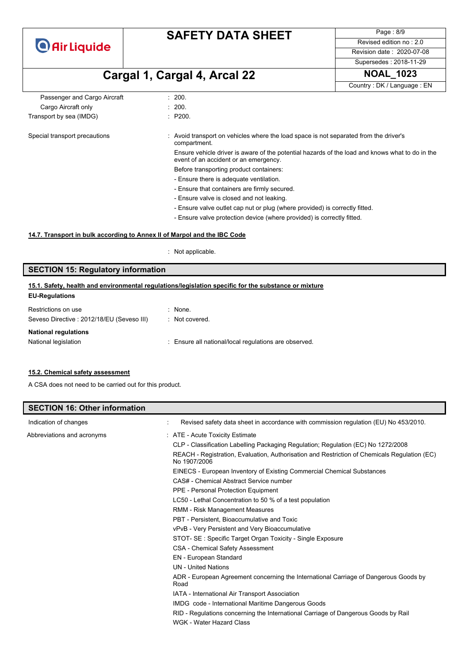

Page : 8/9 Revised edition no : 2.0 Revision date : 2020-07-08

Supersedes : 2018-11-29

# **Cargal 1, Cargal 4, Arcal 22 NOAL\_1023**

Country : DK / Language : EN

| Passenger and Cargo Aircraft  | : 200.                                                                                                                                   |
|-------------------------------|------------------------------------------------------------------------------------------------------------------------------------------|
| Cargo Aircraft only           | : 200.                                                                                                                                   |
| Transport by sea (IMDG)       | : P200.                                                                                                                                  |
| Special transport precautions | : Avoid transport on vehicles where the load space is not separated from the driver's<br>compartment.                                    |
|                               | Ensure vehicle driver is aware of the potential hazards of the load and knows what to do in the<br>event of an accident or an emergency. |
|                               | Before transporting product containers:                                                                                                  |
|                               | - Ensure there is adequate ventilation.                                                                                                  |
|                               | - Ensure that containers are firmly secured.                                                                                             |
|                               | - Ensure valve is closed and not leaking.                                                                                                |
|                               | - Ensure valve outlet cap nut or plug (where provided) is correctly fitted.                                                              |
|                               | - Ensure valve protection device (where provided) is correctly fitted.                                                                   |

#### **14.7. Transport in bulk according to Annex II of Marpol and the IBC Code**

: Not applicable.

### **SECTION 15: Regulatory information**

#### **EU-Regulations 15.1. Safety, health and environmental regulations/legislation specific for the substance or mixture**

| Restrictions on use                       | $:$ None.                                             |
|-------------------------------------------|-------------------------------------------------------|
| Seveso Directive: 2012/18/EU (Seveso III) | : Not covered.                                        |
| <b>National regulations</b>               |                                                       |
| National legislation                      | : Ensure all national/local regulations are observed. |
|                                           |                                                       |

#### **15.2. Chemical safety assessment**

A CSA does not need to be carried out for this product.

| <b>SECTION 16: Other information</b> |                                                                                                              |
|--------------------------------------|--------------------------------------------------------------------------------------------------------------|
| Indication of changes                | Revised safety data sheet in accordance with commission regulation (EU) No 453/2010.                         |
| Abbreviations and acronyms           | : ATE - Acute Toxicity Estimate                                                                              |
|                                      | CLP - Classification Labelling Packaging Regulation; Regulation (EC) No 1272/2008                            |
|                                      | REACH - Registration, Evaluation, Authorisation and Restriction of Chemicals Regulation (EC)<br>No 1907/2006 |
|                                      | EINECS - European Inventory of Existing Commercial Chemical Substances                                       |
|                                      | CAS# - Chemical Abstract Service number                                                                      |
|                                      | PPE - Personal Protection Equipment                                                                          |
|                                      | LC50 - Lethal Concentration to 50 % of a test population                                                     |
|                                      | RMM - Risk Management Measures                                                                               |
|                                      | PBT - Persistent, Bioaccumulative and Toxic                                                                  |
|                                      | vPvB - Very Persistent and Very Bioaccumulative                                                              |
|                                      | STOT- SE: Specific Target Organ Toxicity - Single Exposure                                                   |
|                                      | <b>CSA - Chemical Safety Assessment</b>                                                                      |
|                                      | EN - European Standard                                                                                       |
|                                      | <b>UN</b> - United Nations                                                                                   |
|                                      | ADR - European Agreement concerning the International Carriage of Dangerous Goods by<br>Road                 |
|                                      | IATA - International Air Transport Association                                                               |
|                                      | IMDG code - International Maritime Dangerous Goods                                                           |
|                                      | RID - Regulations concerning the International Carriage of Dangerous Goods by Rail                           |
|                                      | WGK - Water Hazard Class                                                                                     |
|                                      |                                                                                                              |